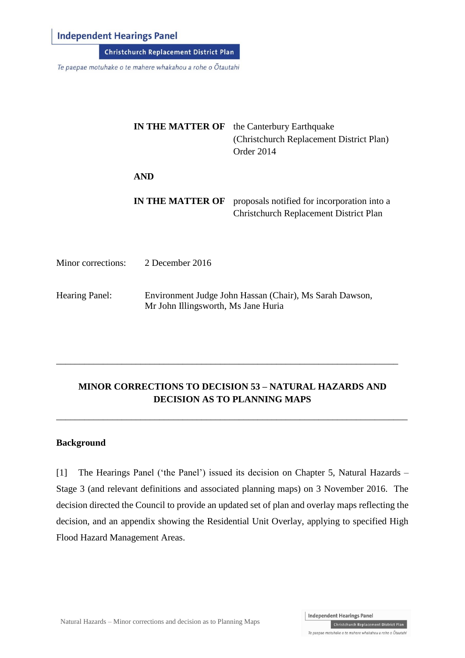## **Independent Hearings Panel**

**Christchurch Replacement District Plan** 

Te paepae motuhake o te mahere whakahou a rohe o Ōtautahi

|                           | <b>IN THE MATTER OF</b>                                                                        | the Canterbury Earthquake<br>(Christchurch Replacement District Plan)<br>Order 2014   |
|---------------------------|------------------------------------------------------------------------------------------------|---------------------------------------------------------------------------------------|
|                           | <b>AND</b>                                                                                     |                                                                                       |
|                           | IN THE MATTER OF                                                                               | proposals notified for incorporation into a<br>Christchurch Replacement District Plan |
| <b>Minor corrections:</b> | 2 December 2016                                                                                |                                                                                       |
| <b>Hearing Panel:</b>     | Environment Judge John Hassan (Chair), Ms Sarah Dawson,<br>Mr John Illingsworth, Ms Jane Huria |                                                                                       |

# **MINOR CORRECTIONS TO DECISION 53 – NATURAL HAZARDS AND DECISION AS TO PLANNING MAPS**

\_\_\_\_\_\_\_\_\_\_\_\_\_\_\_\_\_\_\_\_\_\_\_\_\_\_\_\_\_\_\_\_\_\_\_\_\_\_\_\_\_\_\_\_\_\_\_\_\_\_\_\_\_\_\_\_\_\_\_\_\_\_\_\_\_\_\_\_\_\_\_\_\_\_\_

\_\_\_\_\_\_\_\_\_\_\_\_\_\_\_\_\_\_\_\_\_\_\_\_\_\_\_\_\_\_\_\_\_\_\_\_\_\_\_\_\_\_\_\_\_\_\_\_\_\_\_\_\_\_\_\_\_\_\_\_\_\_\_\_\_\_\_\_\_\_\_\_\_

#### **Background**

[1] The Hearings Panel ('the Panel') issued its decision on Chapter 5, Natural Hazards – Stage 3 (and relevant definitions and associated planning maps) on 3 November 2016. The decision directed the Council to provide an updated set of plan and overlay maps reflecting the decision, and an appendix showing the Residential Unit Overlay, applying to specified High Flood Hazard Management Areas.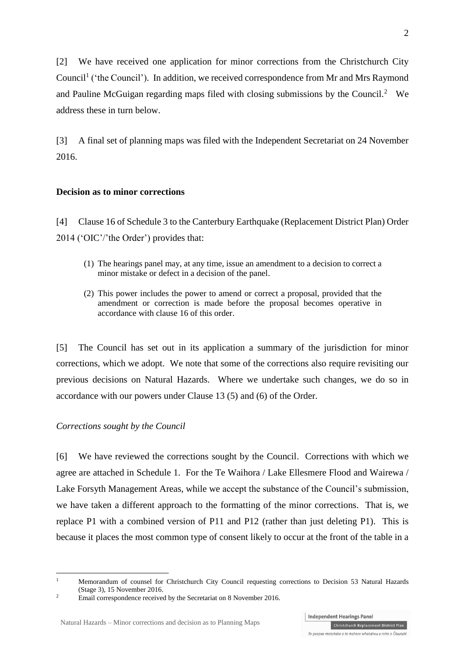[2] We have received one application for minor corrections from the Christchurch City Council<sup>1</sup> ('the Council'). In addition, we received correspondence from Mr and Mrs Raymond and Pauline McGuigan regarding maps filed with closing submissions by the Council.<sup>2</sup> We address these in turn below.

[3] A final set of planning maps was filed with the Independent Secretariat on 24 November 2016.

#### **Decision as to minor corrections**

[4] Clause 16 of Schedule 3 to the Canterbury Earthquake (Replacement District Plan) Order 2014 ('OIC'/'the Order') provides that:

- (1) The hearings panel may, at any time, issue an amendment to a decision to correct a minor mistake or defect in a decision of the panel.
- (2) This power includes the power to amend or correct a proposal, provided that the amendment or correction is made before the proposal becomes operative in accordance with clause 16 of this order.

[5] The Council has set out in its application a summary of the jurisdiction for minor corrections, which we adopt. We note that some of the corrections also require revisiting our previous decisions on Natural Hazards. Where we undertake such changes, we do so in accordance with our powers under Clause 13 (5) and (6) of the Order.

#### *Corrections sought by the Council*

1

[6] We have reviewed the corrections sought by the Council. Corrections with which we agree are attached in Schedule 1. For the Te Waihora / Lake Ellesmere Flood and Wairewa / Lake Forsyth Management Areas, while we accept the substance of the Council's submission, we have taken a different approach to the formatting of the minor corrections. That is, we replace P1 with a combined version of P11 and P12 (rather than just deleting P1). This is because it places the most common type of consent likely to occur at the front of the table in a

<sup>&</sup>lt;sup>1</sup> Memorandum of counsel for Christchurch City Council requesting corrections to Decision 53 Natural Hazards (Stage 3), 15 November 2016.

<sup>&</sup>lt;sup>2</sup> Email correspondence received by the Secretariat on 8 November 2016.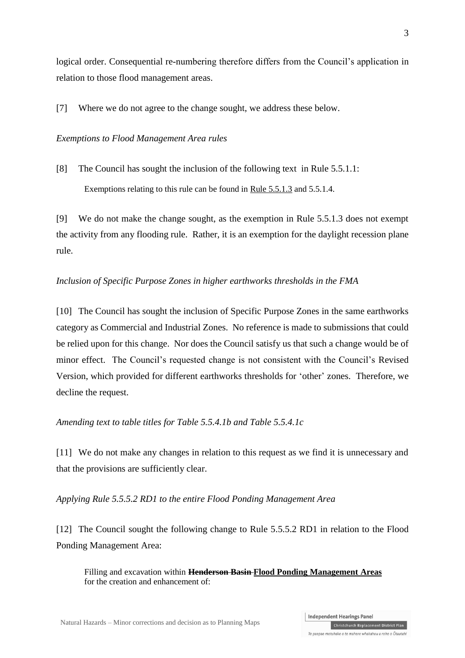logical order. Consequential re-numbering therefore differs from the Council's application in relation to those flood management areas.

[7] Where we do not agree to the change sought, we address these below.

#### *Exemptions to Flood Management Area rules*

[8] The Council has sought the inclusion of the following text in Rule 5.5.1.1: Exemptions relating to this rule can be found in Rule 5.5.1.3 and 5.5.1.4.

[9] We do not make the change sought, as the exemption in Rule 5.5.1.3 does not exempt the activity from any flooding rule. Rather, it is an exemption for the daylight recession plane rule.

#### *Inclusion of Specific Purpose Zones in higher earthworks thresholds in the FMA*

[10] The Council has sought the inclusion of Specific Purpose Zones in the same earthworks category as Commercial and Industrial Zones. No reference is made to submissions that could be relied upon for this change. Nor does the Council satisfy us that such a change would be of minor effect. The Council's requested change is not consistent with the Council's Revised Version, which provided for different earthworks thresholds for 'other' zones. Therefore, we decline the request.

*Amending text to table titles for Table 5.5.4.1b and Table 5.5.4.1c*

[11] We do not make any changes in relation to this request as we find it is unnecessary and that the provisions are sufficiently clear.

*Applying Rule 5.5.5.2 RD1 to the entire Flood Ponding Management Area*

[12] The Council sought the following change to Rule 5.5.5.2 RD1 in relation to the Flood Ponding Management Area:

Filling and excavation within **Henderson Basin Flood Ponding Management Areas** for the creation and enhancement of:

**Independent Hearings Panel**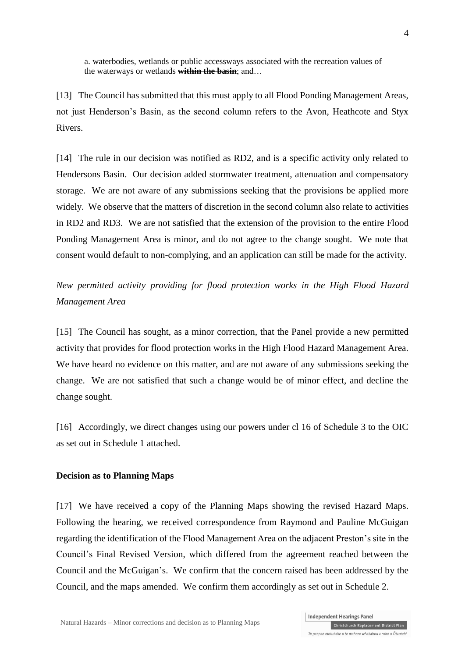a. waterbodies, wetlands or public accessways associated with the recreation values of the waterways or wetlands **within the basin**; and…

[13] The Council has submitted that this must apply to all Flood Ponding Management Areas, not just Henderson's Basin, as the second column refers to the Avon, Heathcote and Styx Rivers.

[14] The rule in our decision was notified as RD2, and is a specific activity only related to Hendersons Basin. Our decision added stormwater treatment, attenuation and compensatory storage. We are not aware of any submissions seeking that the provisions be applied more widely. We observe that the matters of discretion in the second column also relate to activities in RD2 and RD3. We are not satisfied that the extension of the provision to the entire Flood Ponding Management Area is minor, and do not agree to the change sought. We note that consent would default to non-complying, and an application can still be made for the activity.

*New permitted activity providing for flood protection works in the High Flood Hazard Management Area*

[15] The Council has sought, as a minor correction, that the Panel provide a new permitted activity that provides for flood protection works in the High Flood Hazard Management Area. We have heard no evidence on this matter, and are not aware of any submissions seeking the change. We are not satisfied that such a change would be of minor effect, and decline the change sought.

[16] Accordingly, we direct changes using our powers under cl 16 of Schedule 3 to the OIC as set out in Schedule 1 attached.

#### **Decision as to Planning Maps**

[17] We have received a copy of the Planning Maps showing the revised Hazard Maps. Following the hearing, we received correspondence from Raymond and Pauline McGuigan regarding the identification of the Flood Management Area on the adjacent Preston's site in the Council's Final Revised Version, which differed from the agreement reached between the Council and the McGuigan's. We confirm that the concern raised has been addressed by the Council, and the maps amended. We confirm them accordingly as set out in Schedule 2.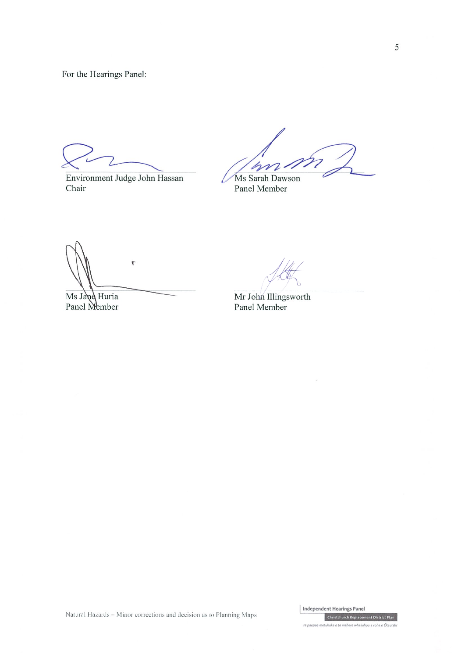For the Hearings Panel:

Environment Judge John Hassan Chair

n

Ms Sarah Dawson Panel Member

 $\overline{\mathbb{C}}$ 

Ms Jand Huria Panel Member

Mr John Illingsworth Panel Member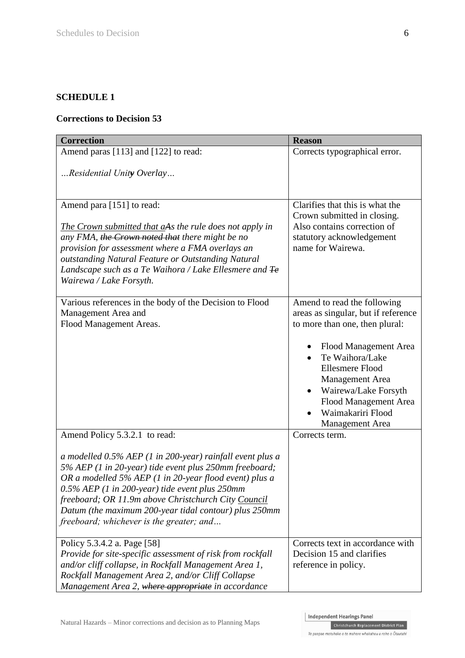## **SCHEDULE 1**

### **Corrections to Decision 53**

| <b>Correction</b>                                                                                                                                                                                                                                                                                                                                                                                                            | <b>Reason</b>                                                                                                                                                                                                                                                                                       |
|------------------------------------------------------------------------------------------------------------------------------------------------------------------------------------------------------------------------------------------------------------------------------------------------------------------------------------------------------------------------------------------------------------------------------|-----------------------------------------------------------------------------------------------------------------------------------------------------------------------------------------------------------------------------------------------------------------------------------------------------|
| Amend paras [113] and [122] to read:                                                                                                                                                                                                                                                                                                                                                                                         | Corrects typographical error.                                                                                                                                                                                                                                                                       |
| Residential Unity Overlay                                                                                                                                                                                                                                                                                                                                                                                                    |                                                                                                                                                                                                                                                                                                     |
| Amend para [151] to read:<br>The Crown submitted that aAs the rule does not apply in<br>any FMA, the Crown noted that there might be no<br>provision for assessment where a FMA overlays an<br>outstanding Natural Feature or Outstanding Natural<br>Landscape such as a Te Waihora / Lake Ellesmere and Fe<br>Wairewa / Lake Forsyth.                                                                                       | Clarifies that this is what the<br>Crown submitted in closing.<br>Also contains correction of<br>statutory acknowledgement<br>name for Wairewa.                                                                                                                                                     |
| Various references in the body of the Decision to Flood<br>Management Area and<br>Flood Management Areas.                                                                                                                                                                                                                                                                                                                    | Amend to read the following<br>areas as singular, but if reference<br>to more than one, then plural:<br>Flood Management Area<br>Te Waihora/Lake<br><b>Ellesmere Flood</b><br>Management Area<br>Wairewa/Lake Forsyth<br>$\bullet$<br>Flood Management Area<br>Waimakariri Flood<br>Management Area |
| Amend Policy 5.3.2.1 to read:<br>a modelled 0.5% AEP (1 in 200-year) rainfall event plus a<br>5% AEP (1 in 20-year) tide event plus 250mm freeboard;<br>OR a modelled 5% AEP (1 in 20-year flood event) plus a<br>0.5% AEP (1 in 200-year) tide event plus 250mm<br>freeboard; OR 11.9m above Christchurch City Council<br>Datum (the maximum 200-year tidal contour) plus 250mm<br>freeboard; whichever is the greater; and | Corrects term.                                                                                                                                                                                                                                                                                      |
| Policy 5.3.4.2 a. Page [58]<br>Provide for site-specific assessment of risk from rockfall<br>and/or cliff collapse, in Rockfall Management Area 1,<br>Rockfall Management Area 2, and/or Cliff Collapse<br>Management Area 2, where appropriate in accordance                                                                                                                                                                | Corrects text in accordance with<br>Decision 15 and clarifies<br>reference in policy.                                                                                                                                                                                                               |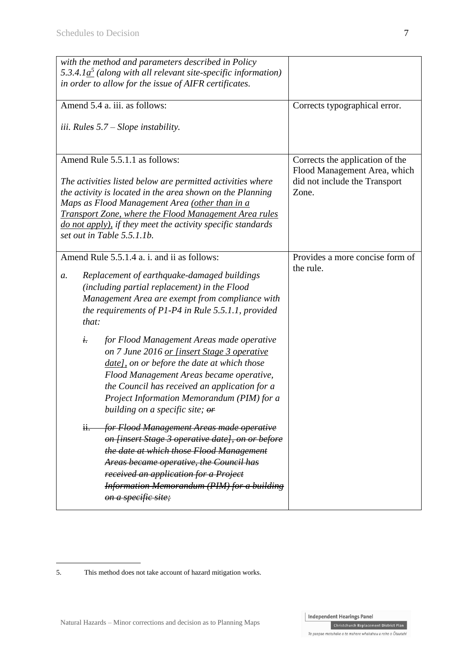| with the method and parameters described in Policy<br>5.3.4.1 $a^5$ (along with all relevant site-specific information)<br>in order to allow for the issue of AIFR certificates.                                                                                                                                                    |                                                                 |
|-------------------------------------------------------------------------------------------------------------------------------------------------------------------------------------------------------------------------------------------------------------------------------------------------------------------------------------|-----------------------------------------------------------------|
| Amend 5.4 a. iii. as follows:                                                                                                                                                                                                                                                                                                       | Corrects typographical error.                                   |
| <i>iii.</i> Rules $5.7 -$ Slope instability.                                                                                                                                                                                                                                                                                        |                                                                 |
| Amend Rule 5.5.1.1 as follows:                                                                                                                                                                                                                                                                                                      | Corrects the application of the<br>Flood Management Area, which |
| The activities listed below are permitted activities where<br>the activity is located in the area shown on the Planning<br>Maps as Flood Management Area (other than in a<br>Transport Zone, where the Flood Management Area rules<br>do not apply), if they meet the activity specific standards<br>set out in Table 5.5.1.1b.     | did not include the Transport<br>Zone.                          |
| Amend Rule 5.5.1.4 a. i. and ii as follows:                                                                                                                                                                                                                                                                                         | Provides a more concise form of                                 |
| Replacement of earthquake-damaged buildings<br>a.<br>(including partial replacement) in the Flood<br>Management Area are exempt from compliance with<br>the requirements of $P1-P4$ in Rule 5.5.1.1, provided<br>that:                                                                                                              | the rule.                                                       |
| i.<br>for Flood Management Areas made operative<br>on 7 June 2016 or [insert Stage 3 operative<br>date], on or before the date at which those<br>Flood Management Areas became operative,<br>the Council has received an application for a<br>Project Information Memorandum (PIM) for a<br>building on a specific site; $\theta$ * |                                                                 |
| for Flood Management Areas made operative<br>ii.<br>on [insert Stage 3 operative date], on or before<br>the date at which those Flood Management<br>Areas became operative, the Council has<br>received an application for a Project<br><b>Information Memorandum (PIM) for a building</b><br>on a specific site;                   |                                                                 |

 $\boxed{\text{Christchurch Replacement District Plan}}$ 

<sup>5.</sup> This method does not take account of hazard mitigation works.

Independent Hearings Panel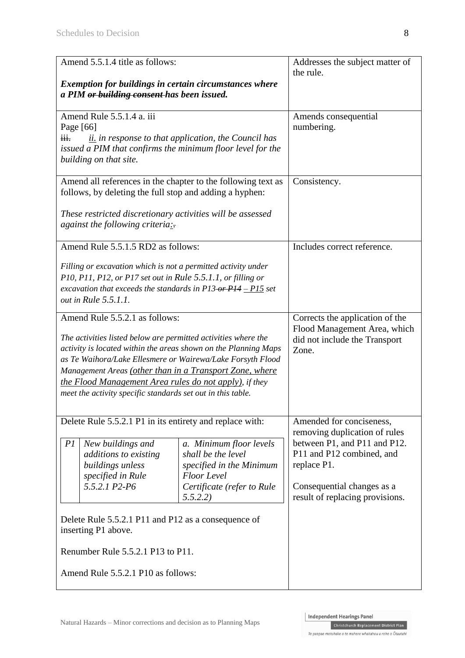| Amend 5.5.1.4 title as follows:                                                                                         |                                                                                  | Addresses the subject matter of          |
|-------------------------------------------------------------------------------------------------------------------------|----------------------------------------------------------------------------------|------------------------------------------|
|                                                                                                                         |                                                                                  | the rule.                                |
| Exemption for buildings in certain circumstances where<br>a PIM or building consent has been issued.                    |                                                                                  |                                          |
|                                                                                                                         |                                                                                  |                                          |
| Amend Rule 5.5.1.4 a. iii                                                                                               |                                                                                  | Amends consequential                     |
| Page [66]<br>$\overline{\mathbf{H}}$ .                                                                                  | $\frac{\partial i}{\partial t}$ in response to that application, the Council has | numbering.                               |
| issued a PIM that confirms the minimum floor level for the                                                              |                                                                                  |                                          |
| building on that site.                                                                                                  |                                                                                  |                                          |
|                                                                                                                         |                                                                                  |                                          |
| Amend all references in the chapter to the following text as<br>follows, by deleting the full stop and adding a hyphen: |                                                                                  | Consistency.                             |
|                                                                                                                         |                                                                                  |                                          |
| These restricted discretionary activities will be assessed                                                              |                                                                                  |                                          |
| against the following criteria:                                                                                         |                                                                                  |                                          |
| Amend Rule 5.5.1.5 RD2 as follows:                                                                                      |                                                                                  | Includes correct reference.              |
| Filling or excavation which is not a permitted activity under                                                           |                                                                                  |                                          |
| P10, P11, P12, or P17 set out in Rule 5.5.1.1, or filling or                                                            |                                                                                  |                                          |
| excavation that exceeds the standards in $P13 \rightarrow P14 - P15$ set                                                |                                                                                  |                                          |
| out in Rule 5.5.1.1.                                                                                                    |                                                                                  |                                          |
| Amend Rule 5.5.2.1 as follows:                                                                                          |                                                                                  | Corrects the application of the          |
| The activities listed below are permitted activities where the                                                          |                                                                                  | Flood Management Area, which             |
| activity is located within the areas shown on the Planning Maps                                                         |                                                                                  | did not include the Transport<br>Zone.   |
| as Te Waihora/Lake Ellesmere or Wairewa/Lake Forsyth Flood                                                              |                                                                                  |                                          |
| Management Areas (other than in a Transport Zone, where                                                                 |                                                                                  |                                          |
| the Flood Management Area rules do not apply), if they<br>meet the activity specific standards set out in this table.   |                                                                                  |                                          |
|                                                                                                                         |                                                                                  |                                          |
| Delete Rule 5.5.2.1 P1 in its entirety and replace with:                                                                |                                                                                  | Amended for conciseness,                 |
|                                                                                                                         |                                                                                  | removing duplication of rules            |
| PI<br>New buildings and                                                                                                 | a. Minimum floor levels                                                          | between P1, and P11 and P12.             |
| additions to existing<br>buildings unless                                                                               | shall be the level<br>specified in the Minimum                                   | P11 and P12 combined, and<br>replace P1. |
| specified in Rule                                                                                                       | <b>Floor</b> Level                                                               |                                          |
| 5.5.2.1 P2-P6                                                                                                           | Certificate (refer to Rule                                                       | Consequential changes as a               |
|                                                                                                                         | 5.5.2.2)                                                                         | result of replacing provisions.          |
| Delete Rule 5.5.2.1 P11 and P12 as a consequence of                                                                     |                                                                                  |                                          |
| inserting P1 above.                                                                                                     |                                                                                  |                                          |
|                                                                                                                         |                                                                                  |                                          |
| Renumber Rule 5.5.2.1 P13 to P11.                                                                                       |                                                                                  |                                          |
| Amend Rule 5.5.2.1 P10 as follows:                                                                                      |                                                                                  |                                          |
|                                                                                                                         |                                                                                  |                                          |

**Christchurch Replacement District Plan**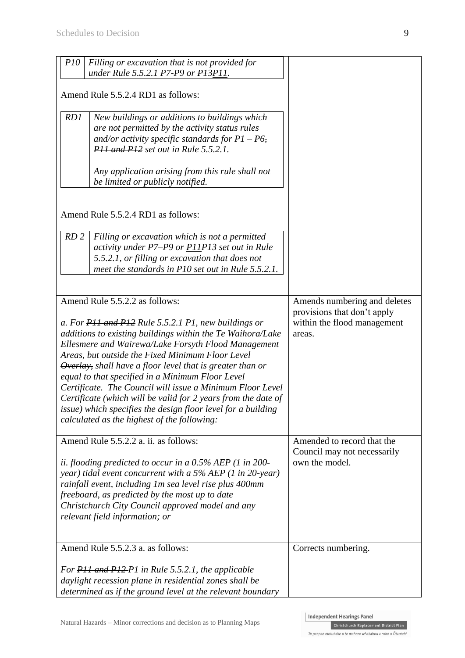| <i>P10</i><br>Filling or excavation that is not provided for<br>under Rule 5.5.2.1 P7-P9 or P13P11.                                                                                                                                                                                                                                                                                                                                                                                                                                                                                                     |                                                                             |
|---------------------------------------------------------------------------------------------------------------------------------------------------------------------------------------------------------------------------------------------------------------------------------------------------------------------------------------------------------------------------------------------------------------------------------------------------------------------------------------------------------------------------------------------------------------------------------------------------------|-----------------------------------------------------------------------------|
| Amend Rule 5.5.2.4 RD1 as follows:                                                                                                                                                                                                                                                                                                                                                                                                                                                                                                                                                                      |                                                                             |
| RD1<br>New buildings or additions to buildings which<br>are not permitted by the activity status rules<br>and/or activity specific standards for $P1 - P6$ ,<br>P <sub>11</sub> and P <sub>12</sub> set out in Rule 5.5.2.1.                                                                                                                                                                                                                                                                                                                                                                            |                                                                             |
| Any application arising from this rule shall not<br>be limited or publicly notified.                                                                                                                                                                                                                                                                                                                                                                                                                                                                                                                    |                                                                             |
| Amend Rule 5.5.2.4 RD1 as follows:                                                                                                                                                                                                                                                                                                                                                                                                                                                                                                                                                                      |                                                                             |
| RD <sub>2</sub><br>Filling or excavation which is not a permitted<br>activity under P7–P9 or P11P13 set out in Rule<br>5.5.2.1, or filling or excavation that does not<br>meet the standards in P10 set out in Rule 5.5.2.1.                                                                                                                                                                                                                                                                                                                                                                            |                                                                             |
| Amend Rule 5.5.2.2 as follows:                                                                                                                                                                                                                                                                                                                                                                                                                                                                                                                                                                          | Amends numbering and deletes                                                |
| a. For P11 and P12 Rule 5.5.2.1 P1, new buildings or<br>additions to existing buildings within the Te Waihora/Lake<br>Ellesmere and Wairewa/Lake Forsyth Flood Management<br>Areas <del>, but outside the Fixed Minimum Floor Level</del><br>Overlay, shall have a floor level that is greater than or<br>equal to that specified in a Minimum Floor Level<br>Certificate. The Council will issue a Minimum Floor Level<br>Certificate (which will be valid for 2 years from the date of<br>issue) which specifies the design floor level for a building<br>calculated as the highest of the following: | provisions that don't apply<br>within the flood management<br>areas.        |
| Amend Rule 5.5.2.2 a. ii. as follows:<br>ii. flooding predicted to occur in a $0.5\%$ AEP (1 in 200-<br>year) tidal event concurrent with a $5\%$ AEP (1 in 20-year)<br>rainfall event, including 1m sea level rise plus 400mm<br>freeboard, as predicted by the most up to date<br>Christchurch City Council approved model and any<br>relevant field information; or                                                                                                                                                                                                                                  | Amended to record that the<br>Council may not necessarily<br>own the model. |
| Amend Rule 5.5.2.3 a. as follows:                                                                                                                                                                                                                                                                                                                                                                                                                                                                                                                                                                       | Corrects numbering.                                                         |
| For PH and P12-P1 in Rule 5.5.2.1, the applicable<br>daylight recession plane in residential zones shall be<br>determined as if the ground level at the relevant boundary                                                                                                                                                                                                                                                                                                                                                                                                                               |                                                                             |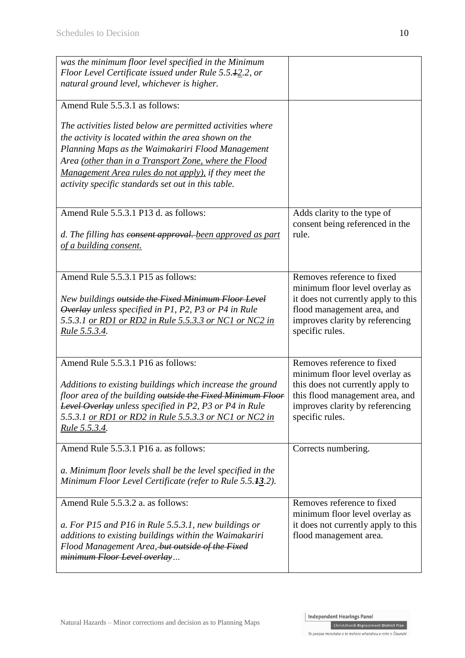| was the minimum floor level specified in the Minimum<br>Floor Level Certificate issued under Rule 5.5.42.2, or<br>natural ground level, whichever is higher.                                                                                                                                                                                    |                                                                                                                                                                                           |
|-------------------------------------------------------------------------------------------------------------------------------------------------------------------------------------------------------------------------------------------------------------------------------------------------------------------------------------------------|-------------------------------------------------------------------------------------------------------------------------------------------------------------------------------------------|
| Amend Rule 5.5.3.1 as follows:                                                                                                                                                                                                                                                                                                                  |                                                                                                                                                                                           |
| The activities listed below are permitted activities where<br>the activity is located within the area shown on the<br>Planning Maps as the Waimakariri Flood Management<br>Area (other than in a Transport Zone, where the Flood<br>Management Area rules do not apply), if they meet the<br>activity specific standards set out in this table. |                                                                                                                                                                                           |
| Amend Rule 5.5.3.1 P13 d. as follows:<br>d. The filling has consent approval. been approved as part<br>of a building consent.                                                                                                                                                                                                                   | Adds clarity to the type of<br>consent being referenced in the<br>rule.                                                                                                                   |
| Amend Rule 5.5.3.1 P15 as follows:<br>New buildings outside the Fixed Minimum Floor Level<br>Overlay unless specified in P1, P2, P3 or P4 in Rule<br>5.5.3.1 or RD1 or RD2 in Rule 5.5.3.3 or NC1 or NC2 in<br><u>Rule 5.5.3.4.</u>                                                                                                             | Removes reference to fixed<br>minimum floor level overlay as<br>it does not currently apply to this<br>flood management area, and<br>improves clarity by referencing<br>specific rules.   |
| Amend Rule 5.5.3.1 P16 as follows:<br>Additions to existing buildings which increase the ground<br>floor area of the building outside the Fixed Minimum Floor<br><b>Level Overlay</b> unless specified in P2, P3 or P4 in Rule<br>5.5.3.1 <u>or RD1 or RD2 in Rule 5.5.3.3 or NC1 or NC2 in</u><br><u>Rule 5.5.3.4.</u>                         | Removes reference to fixed<br>minimum floor level overlay as<br>this does not currently apply to<br>this flood management area, and<br>improves clarity by referencing<br>specific rules. |
| Amend Rule 5.5.3.1 P16 a. as follows:<br>a. Minimum floor levels shall be the level specified in the<br>Minimum Floor Level Certificate (refer to Rule 5.5.13.2).                                                                                                                                                                               | Corrects numbering.                                                                                                                                                                       |
| Amend Rule 5.5.3.2 a. as follows:<br>a. For P15 and P16 in Rule 5.5.3.1, new buildings or<br>additions to existing buildings within the Waimakariri<br>Flood Management Area, but outside of the Fixed<br>minimum Floor Level overlay                                                                                                           | Removes reference to fixed<br>minimum floor level overlay as<br>it does not currently apply to this<br>flood management area.                                                             |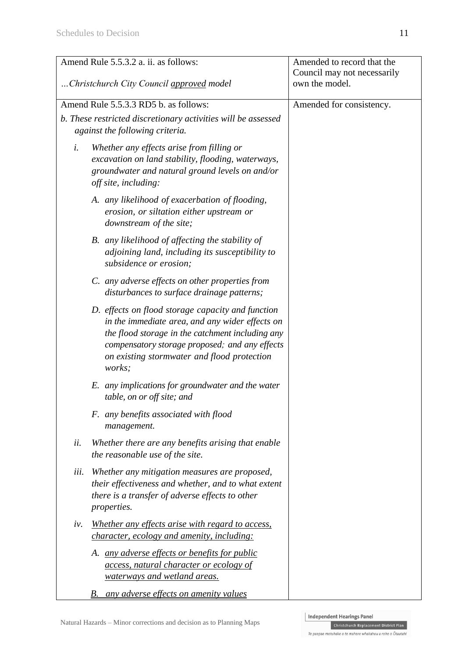|                                          | Amend Rule 5.5.3.2 a. ii. as follows:                                                                                                                                                                                                                               | Amended to record that the  |
|------------------------------------------|---------------------------------------------------------------------------------------------------------------------------------------------------------------------------------------------------------------------------------------------------------------------|-----------------------------|
|                                          |                                                                                                                                                                                                                                                                     | Council may not necessarily |
| Christchurch City Council approved model |                                                                                                                                                                                                                                                                     | own the model.              |
|                                          |                                                                                                                                                                                                                                                                     |                             |
|                                          | Amend Rule 5.5.3.3 RD5 b. as follows:                                                                                                                                                                                                                               | Amended for consistency.    |
|                                          | b. These restricted discretionary activities will be assessed                                                                                                                                                                                                       |                             |
|                                          | against the following criteria.                                                                                                                                                                                                                                     |                             |
| i.                                       | Whether any effects arise from filling or<br>excavation on land stability, flooding, waterways,<br>groundwater and natural ground levels on and/or<br>off site, including:                                                                                          |                             |
|                                          | A. any likelihood of exacerbation of flooding,<br>erosion, or siltation either upstream or<br>downstream of the site;                                                                                                                                               |                             |
|                                          | B. any likelihood of affecting the stability of<br>adjoining land, including its susceptibility to<br>subsidence or erosion;                                                                                                                                        |                             |
|                                          | C. any adverse effects on other properties from<br>disturbances to surface drainage patterns;                                                                                                                                                                       |                             |
|                                          | D. effects on flood storage capacity and function<br>in the immediate area, and any wider effects on<br>the flood storage in the catchment including any<br>compensatory storage proposed; and any effects<br>on existing stormwater and flood protection<br>works; |                             |
|                                          | E. any implications for groundwater and the water<br>table, on or off site; and                                                                                                                                                                                     |                             |
|                                          | F. any benefits associated with flood<br>management.                                                                                                                                                                                                                |                             |
| ii.                                      | Whether there are any benefits arising that enable<br>the reasonable use of the site.                                                                                                                                                                               |                             |
| iii.                                     | Whether any mitigation measures are proposed,<br>their effectiveness and whether, and to what extent<br>there is a transfer of adverse effects to other<br>properties.                                                                                              |                             |
| iv.                                      | Whether any effects arise with regard to access,<br><i>character, ecology and amenity, including:</i>                                                                                                                                                               |                             |
|                                          | A. any adverse effects or benefits for public<br><i>access, natural character or ecology of</i><br>waterways and wetland areas.                                                                                                                                     |                             |
|                                          | <b>B.</b> any adverse effects on amenity values                                                                                                                                                                                                                     |                             |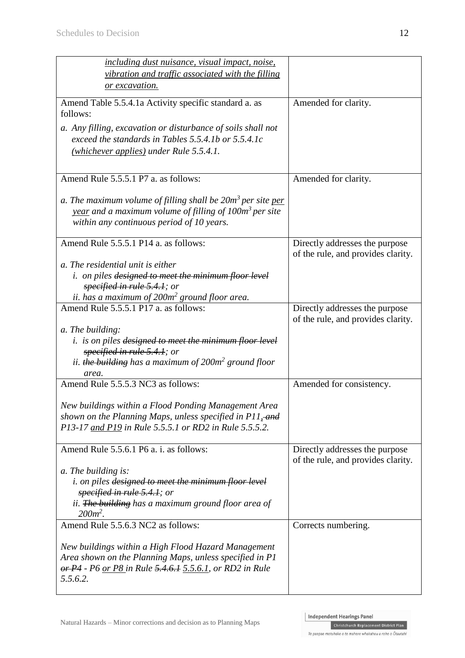| <i>including dust nuisance, visual impact, noise,</i>                                                                                                                                             |                                                                      |
|---------------------------------------------------------------------------------------------------------------------------------------------------------------------------------------------------|----------------------------------------------------------------------|
| vibration and traffic associated with the filling                                                                                                                                                 |                                                                      |
| or excavation.                                                                                                                                                                                    |                                                                      |
| Amend Table 5.5.4.1a Activity specific standard a. as<br>follows:                                                                                                                                 | Amended for clarity.                                                 |
| a. Any filling, excavation or disturbance of soils shall not<br>exceed the standards in Tables 5.5.4.1b or $5.5.4.1c$<br>(whichever applies) under Rule 5.5.4.1.                                  |                                                                      |
| Amend Rule 5.5.5.1 P7 a. as follows:                                                                                                                                                              | Amended for clarity.                                                 |
| a. The maximum volume of filling shall be 20m <sup>3</sup> per site per<br><u>year</u> and a maximum volume of filling of 100m <sup>3</sup> per site<br>within any continuous period of 10 years. |                                                                      |
| Amend Rule 5.5.5.1 P14 a. as follows:                                                                                                                                                             | Directly addresses the purpose<br>of the rule, and provides clarity. |
| a. The residential unit is either                                                                                                                                                                 |                                                                      |
| <i>i.</i> on piles designed to meet the minimum floor level<br>specified in rule 5.4.1; or                                                                                                        |                                                                      |
| ii. has a maximum of $200m^2$ ground floor area.<br>Amend Rule 5.5.5.1 P17 a. as follows:                                                                                                         |                                                                      |
|                                                                                                                                                                                                   | Directly addresses the purpose<br>of the rule, and provides clarity. |
| a. The building:<br><i>i.</i> is on piles designed to meet the minimum floor level<br>specified in rule 5.4.1; or<br>ii. the building has a maximum of 200m <sup>2</sup> ground floor<br>area.    |                                                                      |
| Amend Rule 5.5.5.3 NC3 as follows:                                                                                                                                                                | Amended for consistency.                                             |
| New buildings within a Flood Ponding Management Area<br>shown on the Planning Maps, unless specified in P11, and<br>P13-17 and P19 in Rule 5.5.5.1 or RD2 in Rule 5.5.5.2.                        |                                                                      |
| Amend Rule 5.5.6.1 P6 a. i. as follows:                                                                                                                                                           | Directly addresses the purpose<br>of the rule, and provides clarity. |
| a. The building is:<br><i>i. on piles designed to meet the minimum floor level</i><br>specified in rule 5.4.1; or<br>ii. The building has a maximum ground floor area of<br>$200m^2$ .            |                                                                      |
| Amend Rule 5.5.6.3 NC2 as follows:                                                                                                                                                                | Corrects numbering.                                                  |
| New buildings within a High Flood Hazard Management<br>Area shown on the Planning Maps, unless specified in P1<br>or P4 - P6 or P8 in Rule 5.4.6.1 5.5.6.1, or RD2 in Rule<br>5.5.6.2.            |                                                                      |